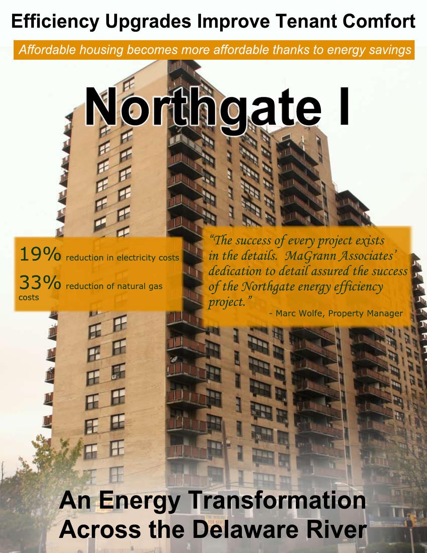# **Efficiency Upgrades Improve Tenant Comfort**

Affordable housing becomes more affordable thanks to energy savings



19% reduction in electricity costs 33% reduction of natural gas costs

"The success of every project exists in the details. MaGrann Associates' dedication to detail assured the success of the Northgate energy efficiency project.

- Marc Wolfe, Property Manager

**An Energy Transformation Across the Delaware River**